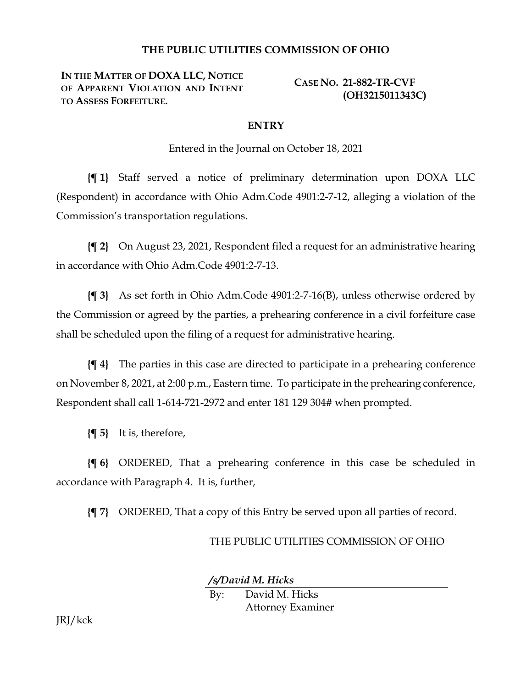## **THE PUBLIC UTILITIES COMMISSION OF OHIO**

**IN THE MATTER OF DOXA LLC, NOTICE OF APPARENT VIOLATION AND INTENT TO ASSESS FORFEITURE.**

**CASE NO. 21-882-TR-CVF (OH3215011343C)**

## **ENTRY**

Entered in the Journal on October 18, 2021

**{¶ 1}** Staff served a notice of preliminary determination upon DOXA LLC (Respondent) in accordance with Ohio Adm.Code 4901:2-7-12, alleging a violation of the Commission's transportation regulations.

**{¶ 2}** On August 23, 2021, Respondent filed a request for an administrative hearing in accordance with Ohio Adm.Code 4901:2-7-13.

**{¶ 3}** As set forth in Ohio Adm.Code 4901:2-7-16(B), unless otherwise ordered by the Commission or agreed by the parties, a prehearing conference in a civil forfeiture case shall be scheduled upon the filing of a request for administrative hearing.

**{¶ 4}** The parties in this case are directed to participate in a prehearing conference on November 8, 2021, at 2:00 p.m., Eastern time. To participate in the prehearing conference, Respondent shall call 1-614-721-2972 and enter 181 129 304# when prompted.

**{¶ 5}** It is, therefore,

**{¶ 6}** ORDERED, That a prehearing conference in this case be scheduled in accordance with Paragraph 4. It is, further,

**{¶ 7}** ORDERED, That a copy of this Entry be served upon all parties of record.

## THE PUBLIC UTILITIES COMMISSION OF OHIO

*/s/David M. Hicks* By: David M. Hicks Attorney Examiner

JRJ/kck